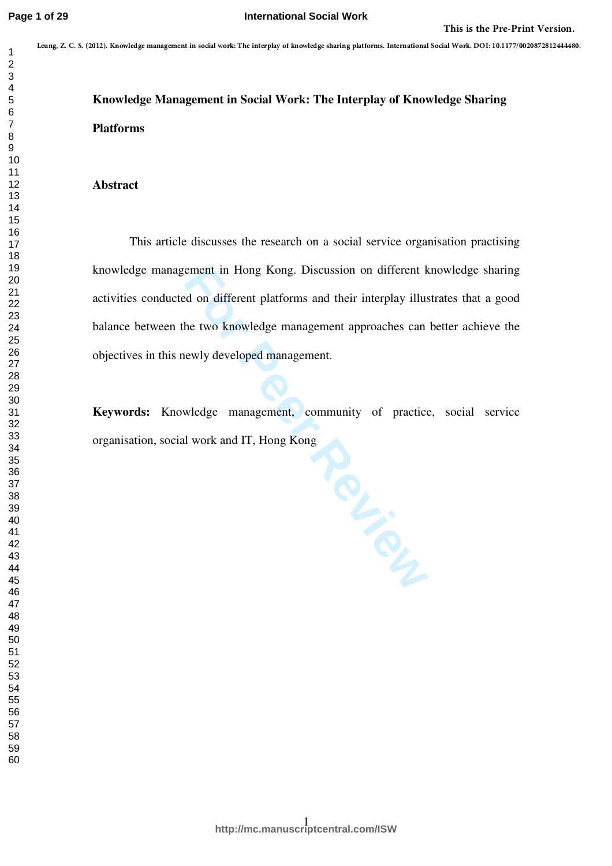# **Knowledge Management in Social Work: The Interplay of Knowledge Sharing Platforms**

# **Abstract**

This article discusses the research on a social service organisation practising knowledge management in Hong Kong. Discussion on different knowledge sharing activities conducted on different platforms and their interplay illustrates that a good balance between the two knowledge management approaches can better achieve the objectives in this newly developed management. This is the first Principal and the state of the state of the first testing in this the First Print Version<br>  $\frac{2}{3}$ <br> **Example 18**<br> **Example 18**<br> **Example 18**<br> **Property:**<br>
This article discusses the research or a suita

**Keywords:** Knowledge management, community of practice, social service organisation, social work and IT, Hong Kong

**For Peer Review**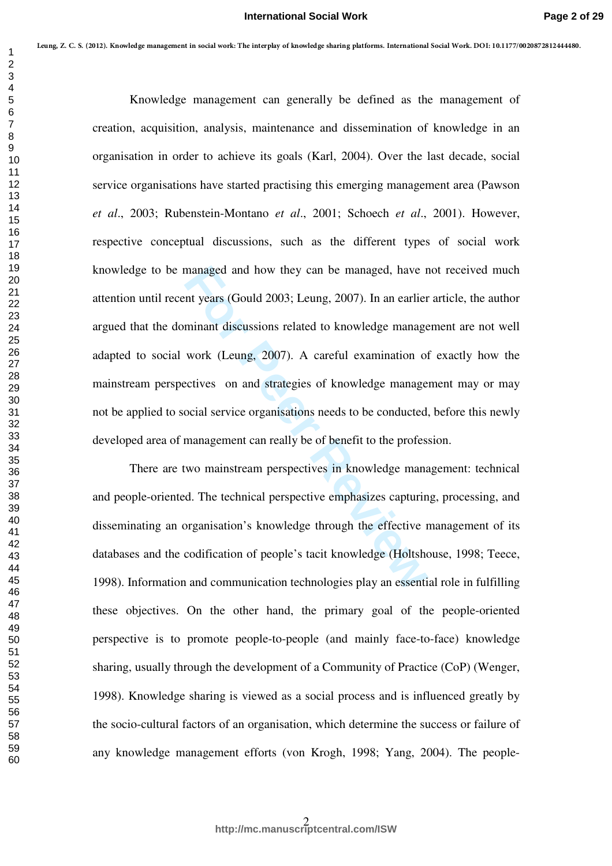managed and how they can be managed, have r<br>int years (Gould 2003; Leung, 2007). In an earlier<br>minant discussions related to knowledge manage<br>work (Leung, 2007). A careful examination of<br>ectives on and strategies of knowle Knowledge management can generally be defined as the management of creation, acquisition, analysis, maintenance and dissemination of knowledge in an organisation in order to achieve its goals (Karl, 2004). Over the last decade, social service organisations have started practising this emerging management area (Pawson *et al*., 2003; Rubenstein-Montano *et al*., 2001; Schoech *et al*., 2001). However, respective conceptual discussions, such as the different types of social work knowledge to be managed and how they can be managed, have not received much attention until recent years (Gould 2003; Leung, 2007). In an earlier article, the author argued that the dominant discussions related to knowledge management are not well adapted to social work (Leung, 2007). A careful examination of exactly how the mainstream perspectives on and strategies of knowledge management may or may not be applied to social service organisations needs to be conducted, before this newly developed area of management can really be of benefit to the profession. **Leung, Z. C. S. (2012). Knowledge management in social work: The interplay of knowledge sharing platforms. International Social Work. DOI: 10.1177/0020872812444480.**

There are two mainstream perspectives in knowledge management: technical and people-oriented. The technical perspective emphasizes capturing, processing, and disseminating an organisation's knowledge through the effective management of its databases and the codification of people's tacit knowledge (Holtshouse, 1998; Teece, 1998). Information and communication technologies play an essential role in fulfilling these objectives. On the other hand, the primary goal of the people-oriented perspective is to promote people-to-people (and mainly face-to-face) knowledge sharing, usually through the development of a Community of Practice (CoP) (Wenger, 1998). Knowledge sharing is viewed as a social process and is influenced greatly by the socio-cultural factors of an organisation, which determine the success or failure of any knowledge management efforts (von Krogh, 1998; Yang, 2004). The people-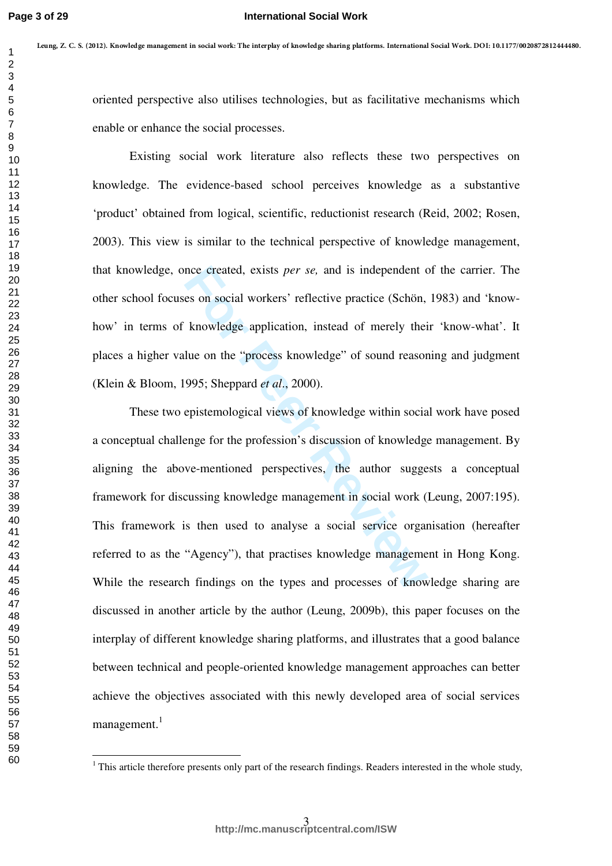#### **International Social Work**

oriented perspective also utilises technologies, but as facilitative mechanisms which enable or enhance the social processes.

Existing social work literature also reflects these two perspectives on knowledge. The evidence-based school perceives knowledge as a substantive 'product' obtained from logical, scientific, reductionist research (Reid, 2002; Rosen, 2003). This view is similar to the technical perspective of knowledge management, that knowledge, once created, exists *per se,* and is independent of the carrier. The other school focuses on social workers' reflective practice (Schön, 1983) and 'knowhow' in terms of knowledge application, instead of merely their 'know-what'. It places a higher value on the "process knowledge" of sound reasoning and judgment (Klein & Bloom, 1995; Sheppard *et al*., 2000).

nce created, exists *per se*, and is independent c<br>es on social workers' reflective practice (Schön,<br>knowledge application, instead of merely thei<br>lue on the "process knowledge" of sound reasor<br>995; Sheppard *et al.*, 2000 These two epistemological views of knowledge within social work have posed a conceptual challenge for the profession's discussion of knowledge management. By aligning the above-mentioned perspectives, the author suggests a conceptual framework for discussing knowledge management in social work (Leung, 2007:195). This framework is then used to analyse a social service organisation (hereafter referred to as the "Agency"), that practises knowledge management in Hong Kong. While the research findings on the types and processes of knowledge sharing are discussed in another article by the author (Leung, 2009b), this paper focuses on the interplay of different knowledge sharing platforms, and illustrates that a good balance between technical and people-oriented knowledge management approaches can better achieve the objectives associated with this newly developed area of social services management.<sup>1</sup> 1  $m_{\pi}y$  r, transformation is the interesting photon interaction in the internal of the constrained properties of the contrast of the constrained properties on Figure 2016. The coldense of the same of the constant of th

 $\frac{1}{1}$ . This article therefore presents only part of the research findings. Readers interested in the whole study,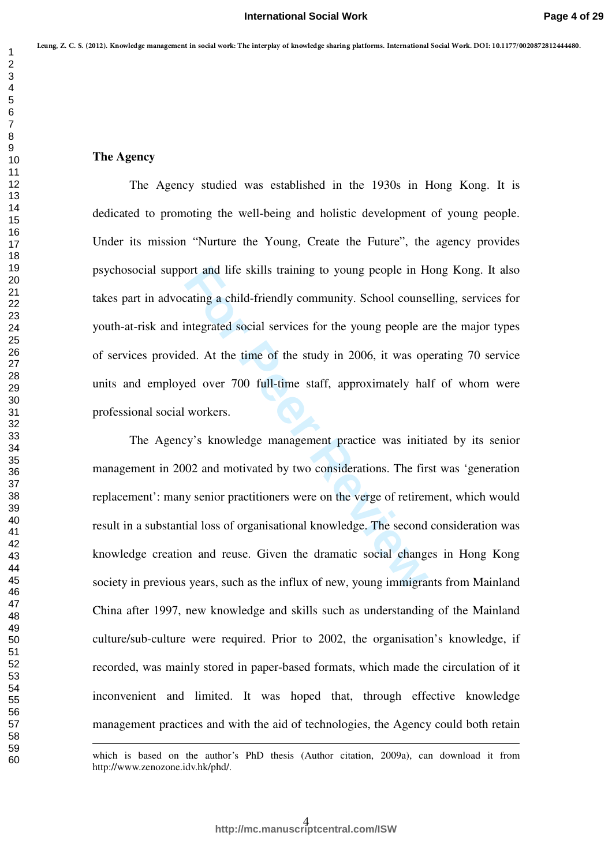#### **The Agency**

 $\overline{a}$ 

The Agency studied was established in the 1930s in Hong Kong. It is dedicated to promoting the well-being and holistic development of young people. Under its mission "Nurture the Young, Create the Future", the agency provides psychosocial support and life skills training to young people in Hong Kong. It also takes part in advocating a child-friendly community. School counselling, services for youth-at-risk and integrated social services for the young people are the major types of services provided. At the time of the study in 2006, it was operating 70 service units and employed over 700 full-time staff, approximately half of whom were professional social workers.

ort and life skills training to young people in H<br>
rating a child-friendly community. School couns<br>
integrated social services for the young people a<br>
ed. At the time of the study in 2006, it was op<br>
ed over 700 full-time The Agency's knowledge management practice was initiated by its senior management in 2002 and motivated by two considerations. The first was 'generation replacement': many senior practitioners were on the verge of retirement, which would result in a substantial loss of organisational knowledge. The second consideration was knowledge creation and reuse. Given the dramatic social changes in Hong Kong society in previous years, such as the influx of new, young immigrants from Mainland China after 1997, new knowledge and skills such as understanding of the Mainland culture/sub-culture were required. Prior to 2002, the organisation's knowledge, if recorded, was mainly stored in paper-based formats, which made the circulation of it inconvenient and limited. It was hoped that, through effective knowledge management practices and with the aid of technologies, the Agency could both retain 1  $m_{\pi}y$  r, comes would be the state of the state of the state of the state of the state of the state of the state of the state of the state of the state of the state of the state of the state of the state of the state

which is based on the author's PhD thesis (Author citation, 2009a), can download it from http://www.zenozone.idv.hk/phd/.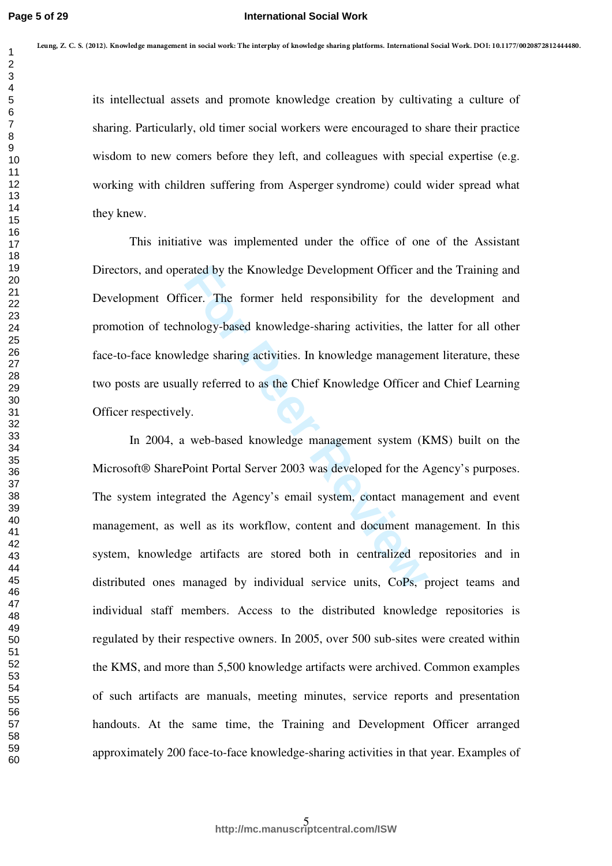its intellectual assets and promote knowledge creation by cultivating a culture of sharing. Particularly, old timer social workers were encouraged to share their practice wisdom to new comers before they left, and colleagues with special expertise (e.g. working with children suffering from Asperger syndrome) could wider spread what they knew.

This initiative was implemented under the office of one of the Assistant Directors, and operated by the Knowledge Development Officer and the Training and Development Officer. The former held responsibility for the development and promotion of technology-based knowledge-sharing activities, the latter for all other face-to-face knowledge sharing activities. In knowledge management literature, these two posts are usually referred to as the Chief Knowledge Officer and Chief Learning Officer respectively.

rated by the Knowledge Development Officer an<br>icer. The former held responsibility for the<br>nology-based knowledge-sharing activities, the<br>ledge sharing activities. In knowledge manageme<br>Illy referred to as the Chief Knowle In 2004, a web-based knowledge management system (KMS) built on the Microsoft® SharePoint Portal Server 2003 was developed for the Agency's purposes. The system integrated the Agency's email system, contact management and event management, as well as its workflow, content and document management. In this system, knowledge artifacts are stored both in centralized repositories and in distributed ones managed by individual service units, CoPs, project teams and individual staff members. Access to the distributed knowledge repositories is regulated by their respective owners. In 2005, over 500 sub-sites were created within the KMS, and more than 5,500 knowledge artifacts were archived. Common examples of such artifacts are manuals, meeting minutes, service reports and presentation handouts. At the same time, the Training and Development Officer arranged approximately 200 face-to-face knowledge-sharing activities in that year. Examples of 1  $m_{\pi}y$  7. Concerns also also the most be the most concerns and produce the state of a simulated and a sects and promote knowledge encation by cultivaring a caluse of sharing Particularly, old time social vortices ver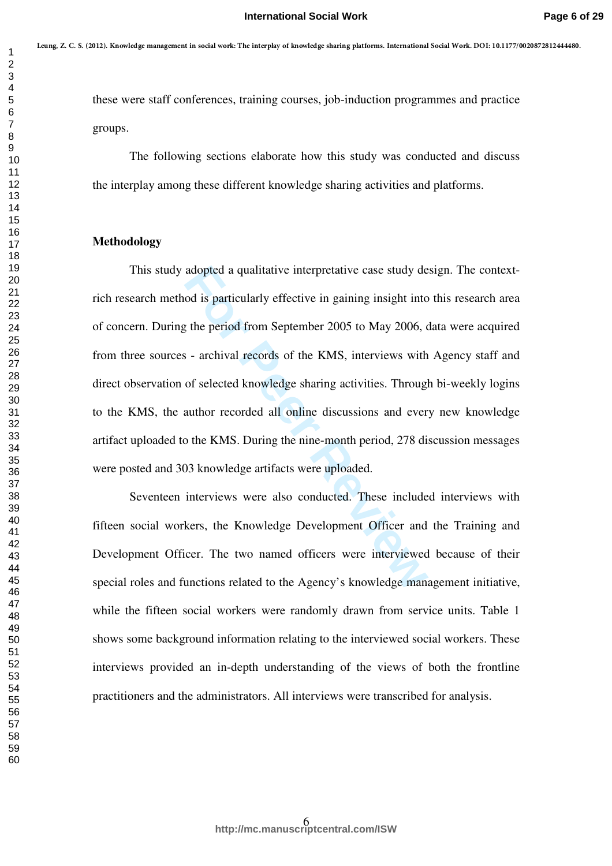these were staff conferences, training courses, job-induction programmes and practice groups.

 The following sections elaborate how this study was conducted and discuss the interplay among these different knowledge sharing activities and platforms.

# **Methodology**

adopted a qualitative interpretative case study dead is particularly effective in gaining insight into the period from September 2005 to May 2006,  $\epsilon$  - archival records of the KMS, interviews with of selected knowledge s This study adopted a qualitative interpretative case study design. The contextrich research method is particularly effective in gaining insight into this research area of concern. During the period from September 2005 to May 2006, data were acquired from three sources - archival records of the KMS, interviews with Agency staff and direct observation of selected knowledge sharing activities. Through bi-weekly logins to the KMS, the author recorded all online discussions and every new knowledge artifact uploaded to the KMS. During the nine-month period, 278 discussion messages were posted and 303 knowledge artifacts were uploaded. 1 was *L* Control transformation in the theoretical control transformation of the state of the state of the state of the state of the state of the following scattering controls, ight induction programmes and practice<br>
1 th

Seventeen interviews were also conducted. These included interviews with fifteen social workers, the Knowledge Development Officer and the Training and Development Officer. The two named officers were interviewed because of their special roles and functions related to the Agency's knowledge management initiative, while the fifteen social workers were randomly drawn from service units. Table 1 shows some background information relating to the interviewed social workers. These interviews provided an in-depth understanding of the views of both the frontline practitioners and the administrators. All interviews were transcribed for analysis.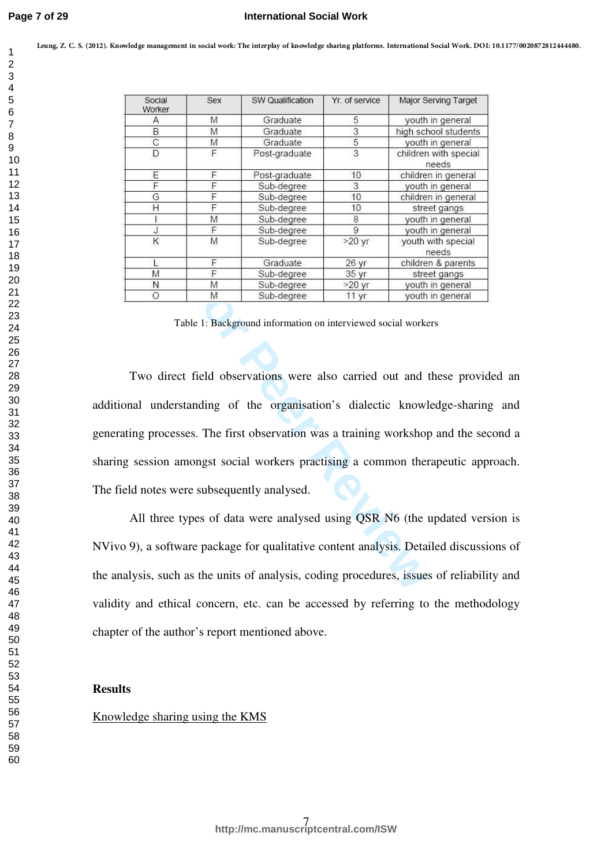|                | Social      | Sex    | SW Qualification                                | Yr. of service  | Major Serving Target                                                                      |
|----------------|-------------|--------|-------------------------------------------------|-----------------|-------------------------------------------------------------------------------------------|
|                | Worker      |        | Graduate                                        |                 |                                                                                           |
|                | Α<br>В      | M<br>M | Graduate                                        | 5<br>3          | youth in general<br>high school students                                                  |
|                | $\mathbf C$ | M      | Graduate                                        | 5               | youth in general                                                                          |
|                | D           | F      | Post-graduate                                   | 3               | children with special<br>needs                                                            |
|                | Ε           | F      | Post-graduate                                   | 10              | children in general                                                                       |
|                | F           | F      | Sub-degree                                      | 3               | youth in general                                                                          |
|                | G           | F      | Sub-degree                                      | 10              | children in general                                                                       |
|                | Η           | F      | Sub-degree                                      | 10              | street gangs                                                                              |
|                |             | M      | Sub-degree                                      | 8               | youth in general                                                                          |
|                | J           | F      | Sub-degree                                      | 9               | youth in general                                                                          |
|                | Κ           | M      | Sub-degree                                      | $>20$ yr        | youth with special<br>needs                                                               |
|                |             | F      | Graduate                                        | 26 yr           | children & parents                                                                        |
|                | M           | F      | Sub-degree                                      | 35 yr           | street gangs                                                                              |
|                | Ν           | M      | Sub-degree                                      | $>20$ yr        | youth in general                                                                          |
|                | Ο           | Μ      | Sub-degree                                      | $11 \text{ yr}$ | youth in general                                                                          |
|                |             |        |                                                 |                 |                                                                                           |
|                |             |        |                                                 |                 | sharing session amongst social workers practising a common therapeutic approach.          |
|                |             |        | The field notes were subsequently analysed.     |                 |                                                                                           |
|                |             |        |                                                 |                 | All three types of data were analysed using QSR N6 (the updated version is                |
|                |             |        |                                                 |                 | NVivo 9), a software package for qualitative content analysis. Detailed discussions of    |
|                |             |        |                                                 |                 | the analysis, such as the units of analysis, coding procedures, issues of reliability and |
|                |             |        |                                                 |                 | validity and ethical concern, etc. can be accessed by referring to the methodology        |
|                |             |        | chapter of the author's report mentioned above. |                 |                                                                                           |
| <b>Results</b> |             |        |                                                 |                 |                                                                                           |

Table 1: Background information on interviewed social workers

# **Results**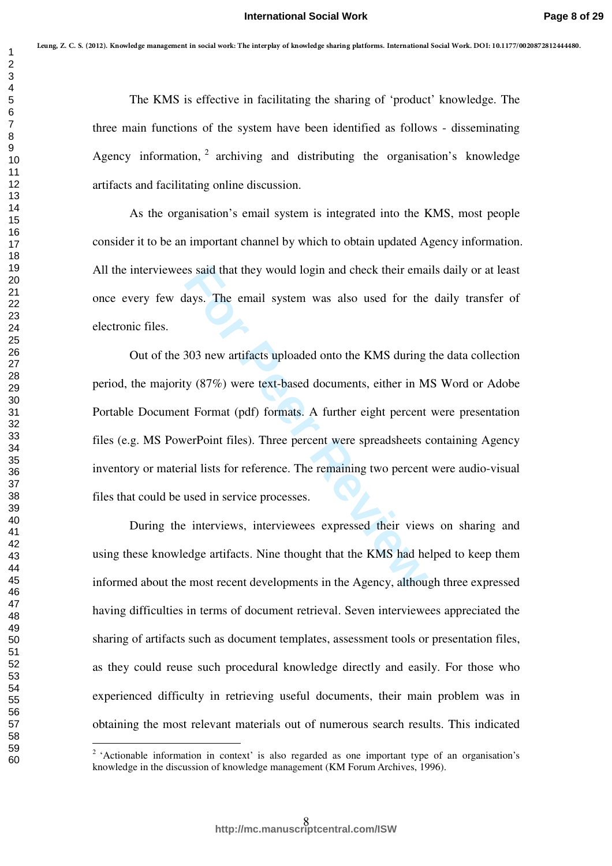The KMS is effective in facilitating the sharing of 'product' knowledge. The three main functions of the system have been identified as follows - disseminating Agency information, archiving and distributing the organisation's knowledge artifacts and facilitating online discussion.

As the organisation's email system is integrated into the KMS, most people consider it to be an important channel by which to obtain updated Agency information. All the interviewees said that they would login and check their emails daily or at least once every few days. The email system was also used for the daily transfer of electronic files.

Example 18 said that they would login and check their email<br>ays. The email system was also used for the<br>ays. The email system was also used for the<br>303 new artifacts uploaded onto the KMS during<br>y (87%) were text-based doc Out of the 303 new artifacts uploaded onto the KMS during the data collection period, the majority (87%) were text-based documents, either in MS Word or Adobe Portable Document Format (pdf) formats. A further eight percent were presentation files (e.g. MS PowerPoint files). Three percent were spreadsheets containing Agency inventory or material lists for reference. The remaining two percent were audio-visual files that could be used in service processes.

During the interviews, interviewees expressed their views on sharing and using these knowledge artifacts. Nine thought that the KMS had helped to keep them informed about the most recent developments in the Agency, although three expressed having difficulties in terms of document retrieval. Seven interviewees appreciated the sharing of artifacts such as document templates, assessment tools or presentation files, as they could reuse such procedural knowledge directly and easily. For those who experienced difficulty in retrieving useful documents, their main problem was in obtaining the most relevant materials out of numerous search results. This indicated 1  $m_{\pi}y$  r, Control transformation that due to the<br>
2 The KMS is effective in facilitating the sharing of "product "horodings. The<br>
2 The KMS is effective in facilitating the sharing of "product" knowledge. The<br>
2 three

 $\frac{1}{2}$ <sup>2</sup> 'Actionable information in context' is also regarded as one important type of an organisation's knowledge in the discussion of knowledge management (KM Forum Archives, 1996).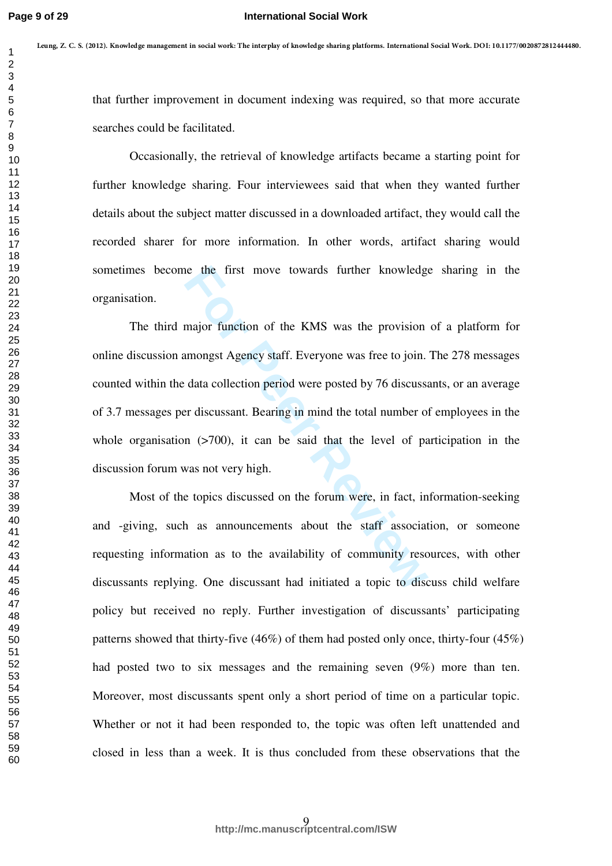that further improvement in document indexing was required, so that more accurate searches could be facilitated.

Occasionally, the retrieval of knowledge artifacts became a starting point for further knowledge sharing. Four interviewees said that when they wanted further details about the subject matter discussed in a downloaded artifact, they would call the recorded sharer for more information. In other words, artifact sharing would sometimes become the first move towards further knowledge sharing in the organisation.

the first move towards further knowledge<br>
major function of the KMS was the provision<br>
mongst Agency staff. Everyone was free to join.<br>
data collection period were posted by 76 discusses<br>
re discussant. Bearing in mind the The third major function of the KMS was the provision of a platform for online discussion amongst Agency staff. Everyone was free to join. The 278 messages counted within the data collection period were posted by 76 discussants, or an average of 3.7 messages per discussant. Bearing in mind the total number of employees in the whole organisation  $(2700)$ , it can be said that the level of participation in the discussion forum was not very high.

Most of the topics discussed on the forum were, in fact, information-seeking and -giving, such as announcements about the staff association, or someone requesting information as to the availability of community resources, with other discussants replying. One discussant had initiated a topic to discuss child welfare policy but received no reply. Further investigation of discussants' participating patterns showed that thirty-five (46%) of them had posted only once, thirty-four (45%) had posted two to six messages and the remaining seven (9%) more than ten. Moreover, most discussants spent only a short period of time on a particular topic. Whether or not it had been responded to, the topic was often left unattended and closed in less than a week. It is thus concluded from these observations that the 1  $m_{\pi}y$ 7. Consecuently magnetic inductively the pole in the consense standard in the intermediator of the conserversal of the specific standard standard in the second of the specific standard in the specific standard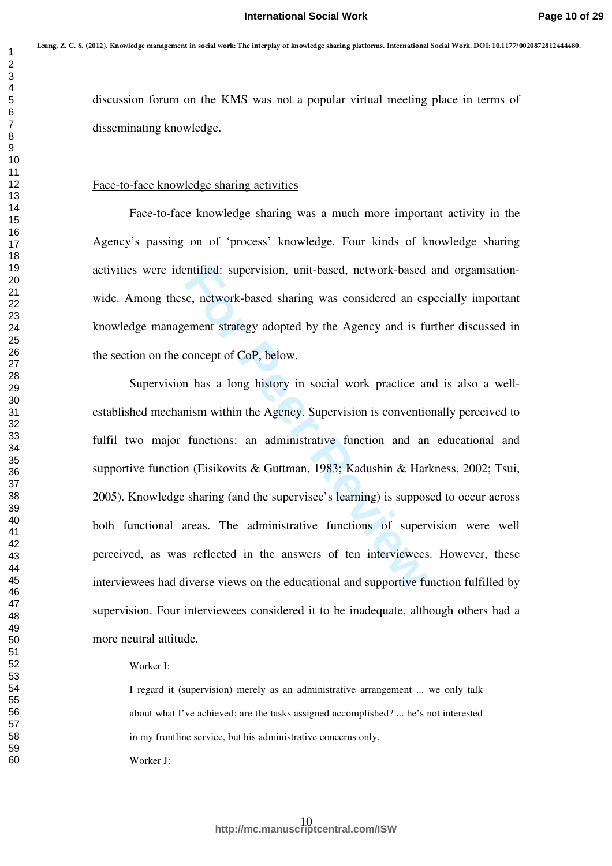discussion forum on the KMS was not a popular virtual meeting place in terms of disseminating knowledge.

# Face-to-face knowledge sharing activities

Face-to-face knowledge sharing was a much more important activity in the Agency's passing on of 'process' knowledge. Four kinds of knowledge sharing activities were identified: supervision, unit-based, network-based and organisationwide. Among these, network-based sharing was considered an especially important knowledge management strategy adopted by the Agency and is further discussed in the section on the concept of CoP, below.

e, network-based sharing was considered an espectre with the Agency and is frement strategy adopted by the Agency and is frement strategy adopted by the Agency and is frement strategy adopted by the Agency and is frement o Supervision has a long history in social work practice and is also a wellestablished mechanism within the Agency. Supervision is conventionally perceived to fulfil two major functions: an administrative function and an educational and supportive function (Eisikovits & Guttman, 1983; Kadushin & Harkness, 2002; Tsui, 2005). Knowledge sharing (and the supervisee's learning) is supposed to occur across both functional areas. The administrative functions of supervision were well perceived, as was reflected in the answers of ten interviewees. However, these interviewees had diverse views on the educational and supportive function fulfilled by supervision. Four interviewees considered it to be inadequate, although others had a more neutral attitude. **Leung, Z. C. S. (2012). Knowledge management in social work: The interplay of knowledge sharing platforms. International Social Work. DOI: 10.1177/0020872812444480.**

# Worker I:

I regard it (supervision) merely as an administrative arrangement ... we only talk about what I've achieved; are the tasks assigned accomplished? ... he's not interested in my frontline service, but his administrative concerns only.

Worker J: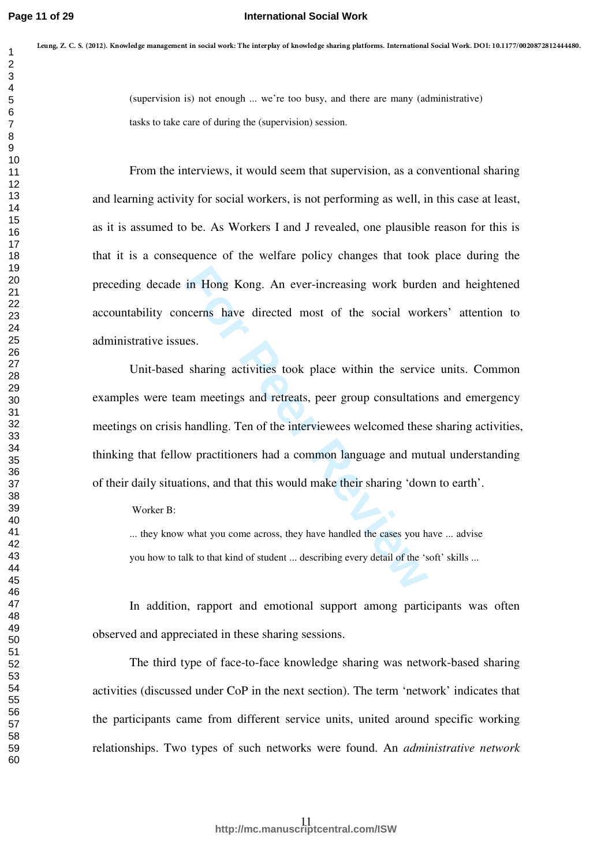(supervision is) not enough ... we're too busy, and there are many (administrative) tasks to take care of during the (supervision) session.

From the interviews, it would seem that supervision, as a conventional sharing and learning activity for social workers, is not performing as well, in this case at least, as it is assumed to be. As Workers I and J revealed, one plausible reason for this is that it is a consequence of the welfare policy changes that took place during the preceding decade in Hong Kong. An ever-increasing work burden and heightened accountability concerns have directed most of the social workers' attention to administrative issues. 1  $m_1 p x$ . Contact maskly may are transfer to the three points points the matter in the total measurement<br>
2<br>
2<br>
2<br>
2<br>
2<br>
2<br>
2<br>
2<br>
2<br>
2<br>
1 Then the interviews, it would seem that supervision assim.<br>
2<br>
1 Then the intervi

in Hong Kong. An ever-increasing work burdencerns have directed most of the social worless.<br>
Sharing activities took place within the service um meetings and retreats, peer group consultation<br>
handling. Ten of the intervie Unit-based sharing activities took place within the service units. Common examples were team meetings and retreats, peer group consultations and emergency meetings on crisis handling. Ten of the interviewees welcomed these sharing activities, thinking that fellow practitioners had a common language and mutual understanding of their daily situations, and that this would make their sharing 'down to earth'.

Worker B:

... they know what you come across, they have handled the cases you have ... advise you how to talk to that kind of student ... describing every detail of the 'soft' skills ...

In addition, rapport and emotional support among participants was often observed and appreciated in these sharing sessions.

The third type of face-to-face knowledge sharing was network-based sharing activities (discussed under CoP in the next section). The term 'network' indicates that the participants came from different service units, united around specific working relationships. Two types of such networks were found. An *administrative network*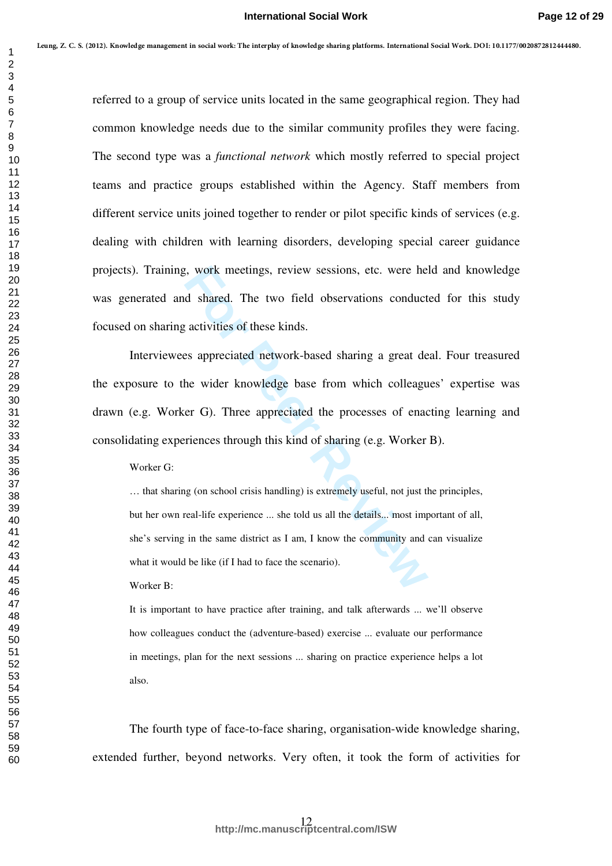referred to a group of service units located in the same geographical region. They had common knowledge needs due to the similar community profiles they were facing. The second type was a *functional network* which mostly referred to special project teams and practice groups established within the Agency. Staff members from different service units joined together to render or pilot specific kinds of services (e.g. dealing with children with learning disorders, developing special career guidance projects). Training, work meetings, review sessions, etc. were held and knowledge was generated and shared. The two field observations conducted for this study focused on sharing activities of these kinds. 1  $m_{\pi}p$  7. Comes transformation in the distribution of the pair of the same proportional term in the correspondent of the second by the second by the second by the second by the second by the second by the second by t

For Western Heatings, review sessions, etc. were het a shared. The two field observations conduct activities of these kinds.<br>
For activities of these kinds.<br>
Es appreciated network-based sharing a great de he wider knowled Interviewees appreciated network-based sharing a great deal. Four treasured the exposure to the wider knowledge base from which colleagues' expertise was drawn (e.g. Worker G). Three appreciated the processes of enacting learning and consolidating experiences through this kind of sharing (e.g. Worker B).

Worker G:

… that sharing (on school crisis handling) is extremely useful, not just the principles, but her own real-life experience ... she told us all the details... most important of all, she's serving in the same district as I am, I know the community and can visualize what it would be like (if I had to face the scenario).

Worker B:

It is important to have practice after training, and talk afterwards ... we'll observe how colleagues conduct the (adventure-based) exercise ... evaluate our performance in meetings, plan for the next sessions ... sharing on practice experience helps a lot also.

The fourth type of face-to-face sharing, organisation-wide knowledge sharing, extended further, beyond networks. Very often, it took the form of activities for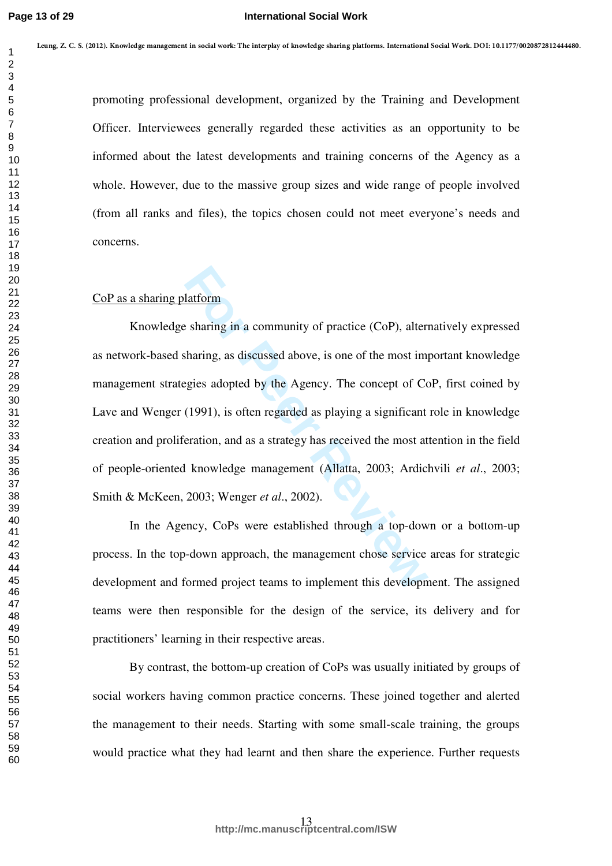promoting professional development, organized by the Training and Development Officer. Interviewees generally regarded these activities as an opportunity to be informed about the latest developments and training concerns of the Agency as a whole. However, due to the massive group sizes and wide range of people involved (from all ranks and files), the topics chosen could not meet everyone's needs and concerns.

# CoP as a sharing platform

**Example 18 Example 10** and a community of practice (CoP), alter<br>tharing, as discussed above, is one of the most im-<br>gies adopted by the Agency. The concept of Co<br>(1991), is often regarded as playing a significant<br>eration, Knowledge sharing in a community of practice (CoP), alternatively expressed as network-based sharing, as discussed above, is one of the most important knowledge management strategies adopted by the Agency. The concept of CoP, first coined by Lave and Wenger (1991), is often regarded as playing a significant role in knowledge creation and proliferation, and as a strategy has received the most attention in the field of people-oriented knowledge management (Allatta, 2003; Ardichvili *et al*., 2003; Smith & McKeen, 2003; Wenger *et al*., 2002). **Leung, Z. C. S. (2012). Knowledge management in social work: The interplay of knowledge sharing platforms. International Social Work. DOI: 10.1177/0020872812444480.**

In the Agency, CoPs were established through a top-down or a bottom-up process. In the top-down approach, the management chose service areas for strategic development and formed project teams to implement this development. The assigned teams were then responsible for the design of the service, its delivery and for practitioners' learning in their respective areas.

By contrast, the bottom-up creation of CoPs was usually initiated by groups of social workers having common practice concerns. These joined together and alerted the management to their needs. Starting with some small-scale training, the groups would practice what they had learnt and then share the experience. Further requests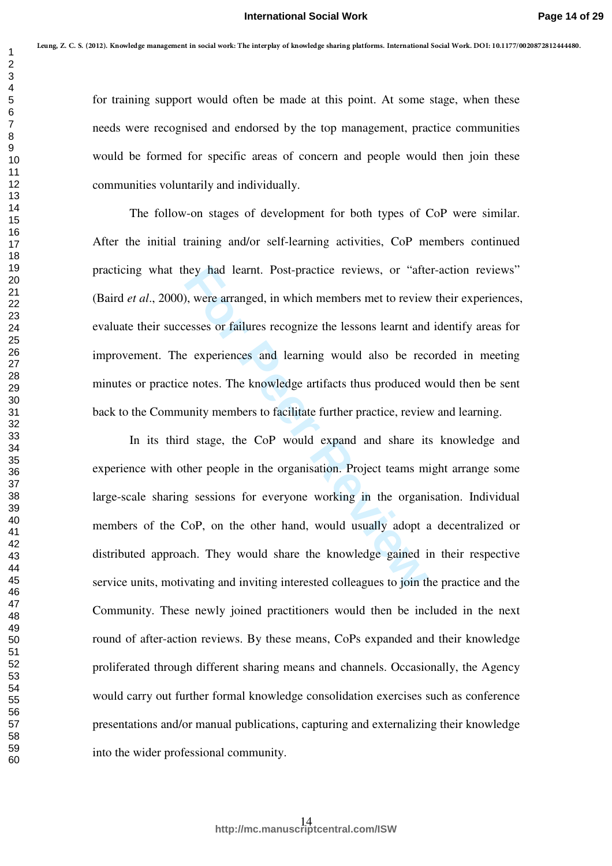for training support would often be made at this point. At some stage, when these needs were recognised and endorsed by the top management, practice communities would be formed for specific areas of concern and people would then join these communities voluntarily and individually.

The follow-on stages of development for both types of CoP were similar. After the initial training and/or self-learning activities, CoP members continued practicing what they had learnt. Post-practice reviews, or "after-action reviews" (Baird *et al*., 2000), were arranged, in which members met to review their experiences, evaluate their successes or failures recognize the lessons learnt and identify areas for improvement. The experiences and learning would also be recorded in meeting minutes or practice notes. The knowledge artifacts thus produced would then be sent back to the Community members to facilitate further practice, review and learning.

hey had learnt. Post-practice reviews, or "after whey, were arranged, in which members met to review essess or failures recognize the lessons learnt and experiences and learning would also be recent of experiences and lear In its third stage, the CoP would expand and share its knowledge and experience with other people in the organisation. Project teams might arrange some large-scale sharing sessions for everyone working in the organisation. Individual members of the CoP, on the other hand, would usually adopt a decentralized or distributed approach. They would share the knowledge gained in their respective service units, motivating and inviting interested colleagues to join the practice and the Community. These newly joined practitioners would then be included in the next round of after-action reviews. By these means, CoPs expanded and their knowledge proliferated through different sharing means and channels. Occasionally, the Agency would carry out further formal knowledge consolidation exercises such as conference presentations and/or manual publications, capturing and externalizing their knowledge into the wider professional community. 1<br>  $\frac{1}{2}$ <br>
1  $\frac{1}{2}$ <br>
1  $\frac{1}{2}$ <br>
1  $\frac{1}{2}$ <br>
1  $\frac{1}{2}$ <br>
1  $\frac{1}{2}$ <br>
1  $\frac{1}{2}$ <br>
1  $\frac{1}{2}$ <br>
1  $\frac{1}{2}$ <br>
1  $\frac{1}{2}$ <br>
1 The United States recognised and endorsed by the top management, practice communities<br>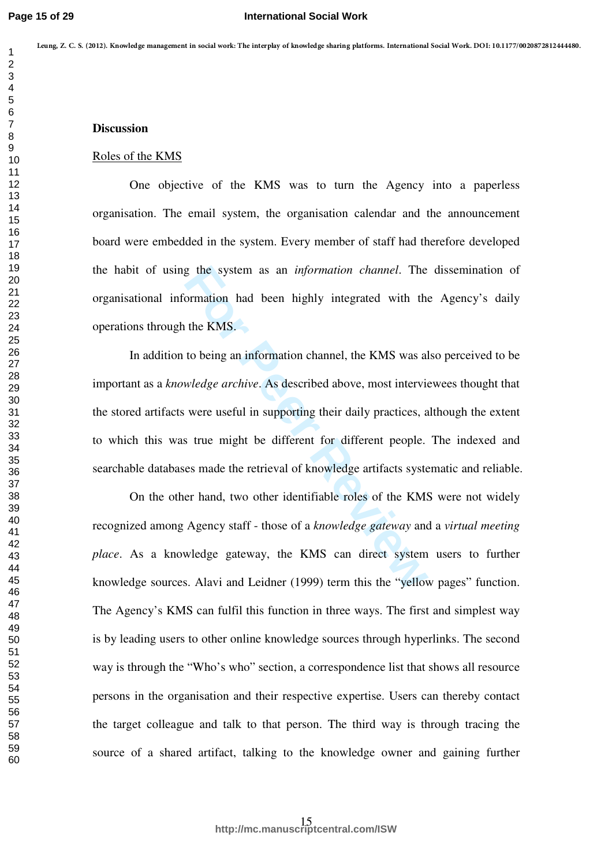# **Discussion**

#### Roles of the KMS

One objective of the KMS was to turn the Agency into a paperless organisation. The email system, the organisation calendar and the announcement board were embedded in the system. Every member of staff had therefore developed the habit of using the system as an *information channel*. The dissemination of organisational information had been highly integrated with the Agency's daily operations through the KMS.

g the system as an *information channel*. The ormation had been highly integrated with the the KMS.<br>to being an information channel, the KMS was all wiledge archive. As described above, most intervies were useful in suppor In addition to being an information channel, the KMS was also perceived to be important as a *knowledge archive*. As described above, most interviewees thought that the stored artifacts were useful in supporting their daily practices, although the extent to which this was true might be different for different people. The indexed and searchable databases made the retrieval of knowledge artifacts systematic and reliable.

On the other hand, two other identifiable roles of the KMS were not widely recognized among Agency staff - those of a *knowledge gateway* and a *virtual meeting place*. As a knowledge gateway, the KMS can direct system users to further knowledge sources. Alavi and Leidner (1999) term this the "yellow pages" function. The Agency's KMS can fulfil this function in three ways. The first and simplest way is by leading users to other online knowledge sources through hyperlinks. The second way is through the "Who's who" section, a correspondence list that shows all resource persons in the organisation and their respective expertise. Users can thereby contact the target colleague and talk to that person. The third way is through tracing the source of a shared artifact, talking to the knowledge owner and gaining further **Leung, Z. C. S. (2012). Knowledge management in social work: The interplay of knowledge sharing platforms. International Social Work. DOI: 10.1177/0020872812444480.**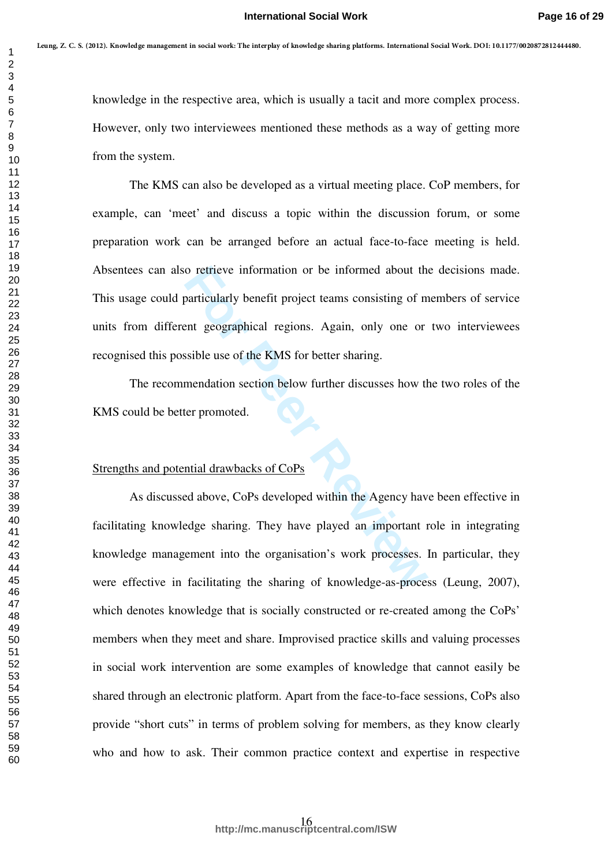knowledge in the respective area, which is usually a tacit and more complex process. However, only two interviewees mentioned these methods as a way of getting more from the system.

The KMS can also be developed as a virtual meeting place. CoP members, for example, can 'meet' and discuss a topic within the discussion forum, or some preparation work can be arranged before an actual face-to-face meeting is held. Absentees can also retrieve information or be informed about the decisions made. This usage could particularly benefit project teams consisting of members of service units from different geographical regions. Again, only one or two interviewees recognised this possible use of the KMS for better sharing.

The recommendation section below further discusses how the two roles of the KMS could be better promoted.

# Strengths and potential drawbacks of CoPs

o retrieve information or be informed about the particularly benefit project teams consisting of ment geographical regions. Again, only one or ssible use of the KMS for better sharing.<br>
mendation section below further disc As discussed above, CoPs developed within the Agency have been effective in facilitating knowledge sharing. They have played an important role in integrating knowledge management into the organisation's work processes. In particular, they were effective in facilitating the sharing of knowledge-as-process (Leung, 2007), which denotes knowledge that is socially constructed or re-created among the CoPs' members when they meet and share. Improvised practice skills and valuing processes in social work intervention are some examples of knowledge that cannot easily be shared through an electronic platform. Apart from the face-to-face sessions, CoPs also provide "short cuts" in terms of problem solving for members, as they know clearly who and how to ask. Their common practice context and expertise in respective 1  $m_1 p x$ . Consecuends, may are increasing the matrix points photon formulated with its increase and<br>  $\frac{2}{3}$ <br>
1 knowledge in the respective area, which is usually a tasit and none complex process.<br>
1 lowever, only two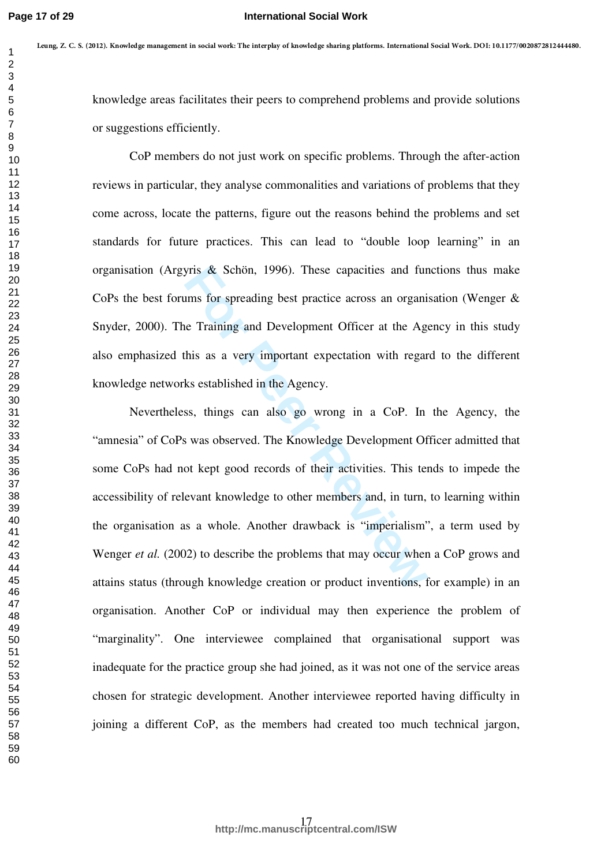#### **International Social Work**

knowledge areas facilitates their peers to comprehend problems and provide solutions or suggestions efficiently.

CoP members do not just work on specific problems. Through the after-action reviews in particular, they analyse commonalities and variations of problems that they come across, locate the patterns, figure out the reasons behind the problems and set standards for future practices. This can lead to "double loop learning" in an organisation (Argyris & Schön, 1996). These capacities and functions thus make CoPs the best forums for spreading best practice across an organisation (Wenger & Snyder, 2000). The Training and Development Officer at the Agency in this study also emphasized this as a very important expectation with regard to the different knowledge networks established in the Agency.

by Schön, 1996). These capacities and furntums for spreading best practice across an organie<br> **E** Training and Development Officer at the Age<br>
this as a very important expectation with regar<br>
ks established in the Agency.<br> Nevertheless, things can also go wrong in a CoP. In the Agency, the "amnesia" of CoPs was observed. The Knowledge Development Officer admitted that some CoPs had not kept good records of their activities. This tends to impede the accessibility of relevant knowledge to other members and, in turn, to learning within the organisation as a whole. Another drawback is "imperialism", a term used by Wenger *et al.* (2002) to describe the problems that may occur when a CoP grows and attains status (through knowledge creation or product inventions, for example) in an organisation. Another CoP or individual may then experience the problem of "marginality". One interviewee complained that organisational support was inadequate for the practice group she had joined, as it was not one of the service areas chosen for strategic development. Another interviewee reported having difficulty in joining a different CoP, as the members had created too much technical jargon, 1  $m_1 p x$ . Consecuends may are transfer that the properties of the problem time and the state of the state of the state of the state of the state of the state of the state of the state of the state of the state of the st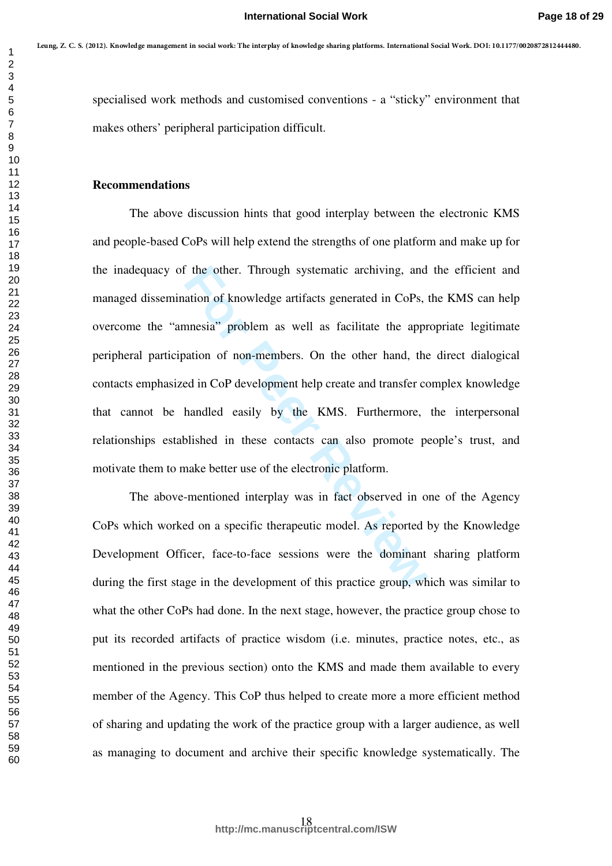specialised work methods and customised conventions - a "sticky" environment that makes others' peripheral participation difficult.

### **Recommendations**

the other. Through systematic archiving, and<br>ation of knowledge artifacts generated in CoPs,<br>nnesia" problem as well as facilitate the appr<br>ation of non-members. On the other hand, the<br>ed in CoP development help create and The above discussion hints that good interplay between the electronic KMS and people-based CoPs will help extend the strengths of one platform and make up for the inadequacy of the other. Through systematic archiving, and the efficient and managed dissemination of knowledge artifacts generated in CoPs, the KMS can help overcome the "amnesia" problem as well as facilitate the appropriate legitimate peripheral participation of non-members. On the other hand, the direct dialogical contacts emphasized in CoP development help create and transfer complex knowledge that cannot be handled easily by the KMS. Furthermore, the interpersonal relationships established in these contacts can also promote people's trust, and motivate them to make better use of the electronic platform. 1  $m_1 p x$ . Concerns the symmetric and are the impact of the product increases the interest and  $\frac{2}{3}$ <br>
specialised work methods and customised conventions - a "wicky" cuviconnent that<br>  $\frac{2}{3}$  specialised work metho

The above-mentioned interplay was in fact observed in one of the Agency CoPs which worked on a specific therapeutic model. As reported by the Knowledge Development Officer, face-to-face sessions were the dominant sharing platform during the first stage in the development of this practice group, which was similar to what the other CoPs had done. In the next stage, however, the practice group chose to put its recorded artifacts of practice wisdom (i.e. minutes, practice notes, etc., as mentioned in the previous section) onto the KMS and made them available to every member of the Agency. This CoP thus helped to create more a more efficient method of sharing and updating the work of the practice group with a larger audience, as well as managing to document and archive their specific knowledge systematically. The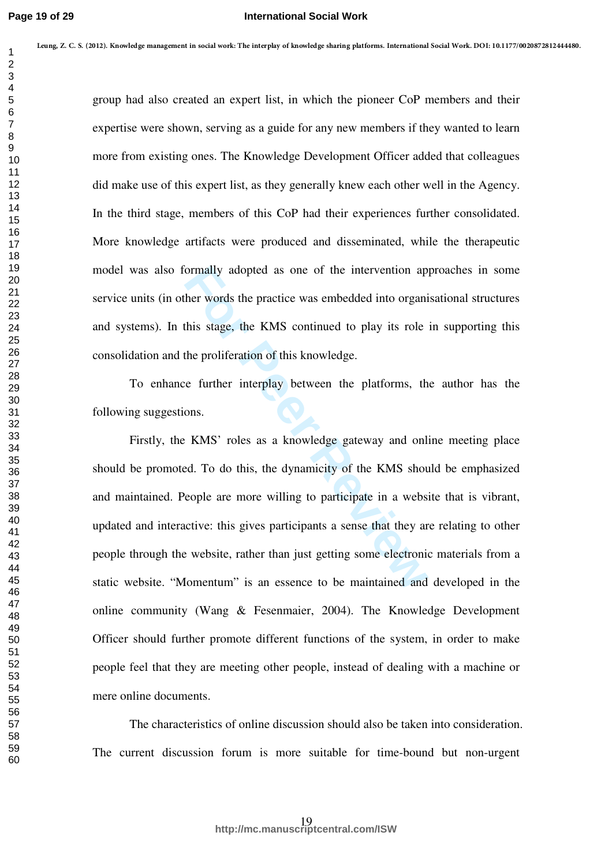group had also created an expert list, in which the pioneer CoP members and their expertise were shown, serving as a guide for any new members if they wanted to learn more from existing ones. The Knowledge Development Officer added that colleagues did make use of this expert list, as they generally knew each other well in the Agency. In the third stage, members of this CoP had their experiences further consolidated. More knowledge artifacts were produced and disseminated, while the therapeutic model was also formally adopted as one of the intervention approaches in some service units (in other words the practice was embedded into organisational structures and systems). In this stage, the KMS continued to play its role in supporting this consolidation and the proliferation of this knowledge.

To enhance further interplay between the platforms, the author has the following suggestions.

Formally adopted as one of the intervention ap<br>her words the practice was embedded into organi<br>this stage, the KMS continued to play its role<br>the proliferation of this knowledge.<br>The proliferation of this knowledge.<br>The pr Firstly, the KMS' roles as a knowledge gateway and online meeting place should be promoted. To do this, the dynamicity of the KMS should be emphasized and maintained. People are more willing to participate in a website that is vibrant, updated and interactive: this gives participants a sense that they are relating to other people through the website, rather than just getting some electronic materials from a static website. "Momentum" is an essence to be maintained and developed in the online community (Wang & Fesenmaier, 2004). The Knowledge Development Officer should further promote different functions of the system, in order to make people feel that they are meeting other people, instead of dealing with a machine or mere online documents. 1  $m_{\pi}y$  7. Comes transformation transform in the distribution of the phonon function of the three metrics and their<br>
going had also created an expect list, in which the pioneer CoP members and their<br>
going had also cr

The characteristics of online discussion should also be taken into consideration. The current discussion forum is more suitable for time-bound but non-urgent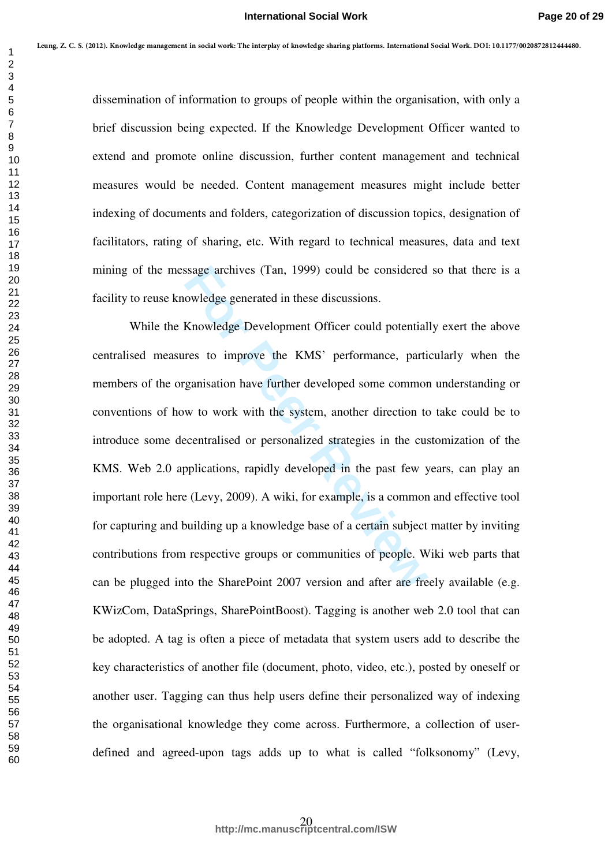#### **International Social Work**

dissemination of information to groups of people within the organisation, with only a brief discussion being expected. If the Knowledge Development Officer wanted to extend and promote online discussion, further content management and technical measures would be needed. Content management measures might include better indexing of documents and folders, categorization of discussion topics, designation of facilitators, rating of sharing, etc. With regard to technical measures, data and text mining of the message archives (Tan, 1999) could be considered so that there is a facility to reuse knowledge generated in these discussions.

ssage archives (Tan, 1999) could be considered<br>owledge generated in these discussions.<br>Knowledge Development Officer could potential<br>res to improve the KMS' performance, parti<br>ganisation have further developed some common<br> While the Knowledge Development Officer could potentially exert the above centralised measures to improve the KMS' performance, particularly when the members of the organisation have further developed some common understanding or conventions of how to work with the system, another direction to take could be to introduce some decentralised or personalized strategies in the customization of the KMS. Web 2.0 applications, rapidly developed in the past few years, can play an important role here (Levy, 2009). A wiki, for example, is a common and effective tool for capturing and building up a knowledge base of a certain subject matter by inviting contributions from respective groups or communities of people. Wiki web parts that can be plugged into the SharePoint 2007 version and after are freely available (e.g. KWizCom, DataSprings, SharePointBoost). Tagging is another web 2.0 tool that can be adopted. A tag is often a piece of metadata that system users add to describe the key characteristics of another file (document, photo, video, etc.), posted by oneself or another user. Tagging can thus help users define their personalized way of indexing the organisational knowledge they come across. Furthermore, a collection of userdefined and agreed-upon tags adds up to what is called "folksonomy" (Levy, 1  $m_{\pi}y$  7. Comes transformation of information to integral the points of the forest<br>
2<br>
2<br>
2<br>
dissemination of information to groups of geople within the expansion on, with only a<br>
brief dissension being expected. If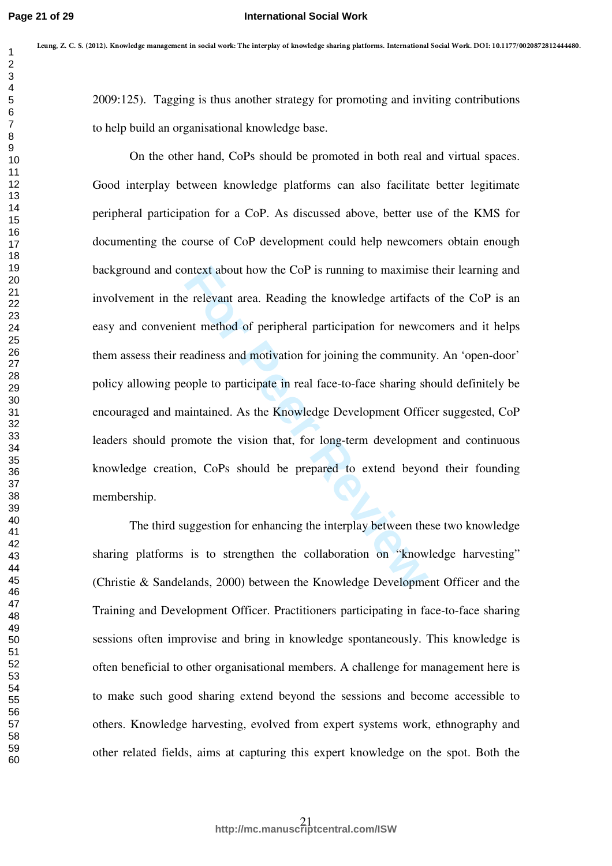#### **International Social Work**

2009:125). Tagging is thus another strategy for promoting and inviting contributions to help build an organisational knowledge base.

Intext about how the CoP is running to maximise<br>
Freelevant area. Reading the knowledge artifacts<br>
Internet method of peripheral participation for newco<br>
Freeddiness and motivation for joining the communit<br>
From tople to p On the other hand, CoPs should be promoted in both real and virtual spaces. Good interplay between knowledge platforms can also facilitate better legitimate peripheral participation for a CoP. As discussed above, better use of the KMS for documenting the course of CoP development could help newcomers obtain enough background and context about how the CoP is running to maximise their learning and involvement in the relevant area. Reading the knowledge artifacts of the CoP is an easy and convenient method of peripheral participation for newcomers and it helps them assess their readiness and motivation for joining the community. An 'open-door' policy allowing people to participate in real face-to-face sharing should definitely be encouraged and maintained. As the Knowledge Development Officer suggested, CoP leaders should promote the vision that, for long-term development and continuous knowledge creation, CoPs should be prepared to extend beyond their founding membership. 1  $m_{\pi}y$  7. Comes transformation transformation transportance points phenomenological involving contributions<br>
2009-125). Tagging is thus another strategy for promoting and invising contributions<br>
3<br>
2009-125). Tagging

The third suggestion for enhancing the interplay between these two knowledge sharing platforms is to strengthen the collaboration on "knowledge harvesting" (Christie & Sandelands, 2000) between the Knowledge Development Officer and the Training and Development Officer. Practitioners participating in face-to-face sharing sessions often improvise and bring in knowledge spontaneously. This knowledge is often beneficial to other organisational members. A challenge for management here is to make such good sharing extend beyond the sessions and become accessible to others. Knowledge harvesting, evolved from expert systems work, ethnography and other related fields, aims at capturing this expert knowledge on the spot. Both the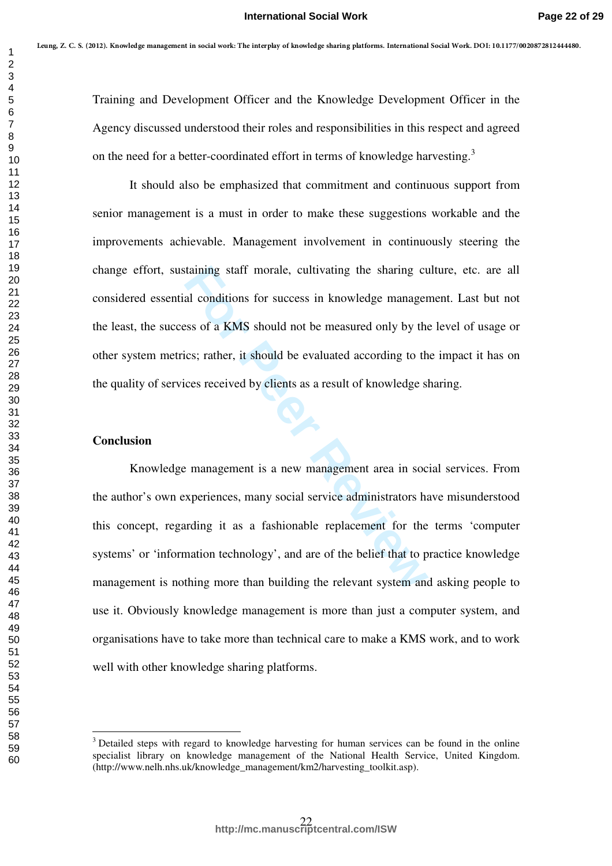Training and Development Officer and the Knowledge Development Officer in the Agency discussed understood their roles and responsibilities in this respect and agreed on the need for a better-coordinated effort in terms of knowledge harvesting.<sup>3</sup>

It should also be emphasized that commitment and continuous support from senior management is a must in order to make these suggestions workable and the improvements achievable. Management involvement in continuously steering the change effort, sustaining staff morale, cultivating the sharing culture, etc. are all considered essential conditions for success in knowledge management. Last but not the least, the success of a KMS should not be measured only by the level of usage or other system metrics; rather, it should be evaluated according to the impact it has on the quality of services received by clients as a result of knowledge sharing.

# **Conclusion**

taining staff morale, cultivating the sharing cu<br>al conditions for success in knowledge manager<br>sss of a KMS should not be measured only by the<br>ics; rather, it should be evaluated according to th<br>ces received by clients as Knowledge management is a new management area in social services. From the author's own experiences, many social service administrators have misunderstood this concept, regarding it as a fashionable replacement for the terms 'computer systems' or 'information technology', and are of the belief that to practice knowledge management is nothing more than building the relevant system and asking people to use it. Obviously knowledge management is more than just a computer system, and organisations have to take more than technical care to make a KMS work, and to work well with other knowledge sharing platforms. 1  $m_{\pi}y$  7. Comes the algorithm interded To the projection by dentisy for the formulation of the total members of the state of the content of the state of the state of the state of the state of the state of the state o

<sup>&</sup>lt;sup>2</sup><br>3 <sup>3</sup> Detailed steps with regard to knowledge harvesting for human services can be found in the online specialist library on knowledge management of the National Health Service, United Kingdom. (http://www.nelh.nhs.uk/knowledge\_management/km2/harvesting\_toolkit.asp).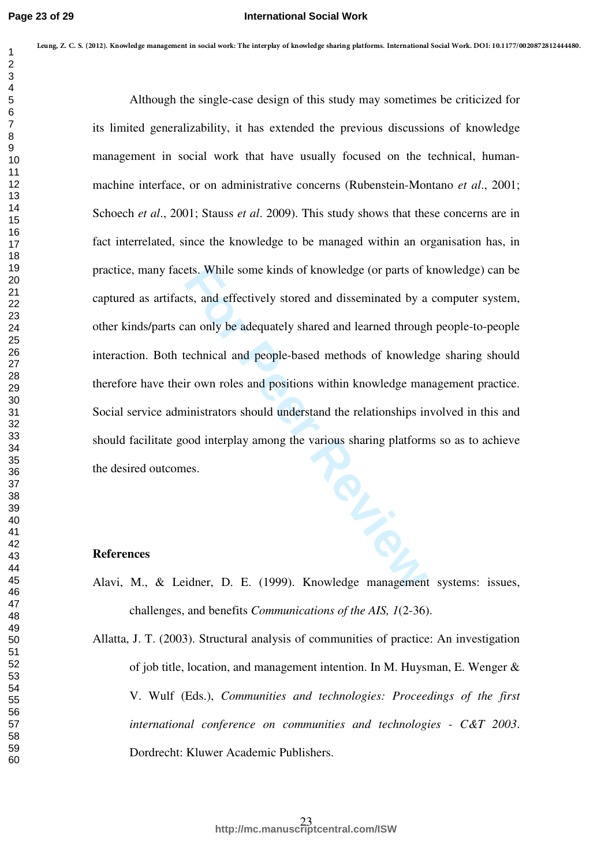ets. While some kinds of knowledge (or parts of l<br>ts, and effectively stored and disseminated by a<br>an only be adequately shared and learned through<br>rechnical and people-based methods of knowledge<br>ir own roles and positions Although the single-case design of this study may sometimes be criticized for its limited generalizability, it has extended the previous discussions of knowledge management in social work that have usually focused on the technical, humanmachine interface, or on administrative concerns (Rubenstein-Montano *et al*., 2001; Schoech *et al*., 2001; Stauss *et al*. 2009). This study shows that these concerns are in fact interrelated, since the knowledge to be managed within an organisation has, in practice, many facets. While some kinds of knowledge (or parts of knowledge) can be captured as artifacts, and effectively stored and disseminated by a computer system, other kinds/parts can only be adequately shared and learned through people-to-people interaction. Both technical and people-based methods of knowledge sharing should therefore have their own roles and positions within knowledge management practice. Social service administrators should understand the relationships involved in this and should facilitate good interplay among the various sharing platforms so as to achieve the desired outcomes. 1  $m_{\pi}y$  7. Comes transformation in the interpretation function interactive and the interaction of the interaction of the state of the state of the state of the state of the state of the state of the state of the state

#### **References**

- Alavi, M., & Leidner, D. E. (1999). Knowledge management systems: issues, challenges, and benefits *Communications of the AIS, 1*(2-36).
- Allatta, J. T. (2003). Structural analysis of communities of practice: An investigation of job title, location, and management intention. In M. Huysman, E. Wenger & V. Wulf (Eds.), *Communities and technologies: Proceedings of the first international conference on communities and technologies - C&T 2003*. Dordrecht: Kluwer Academic Publishers.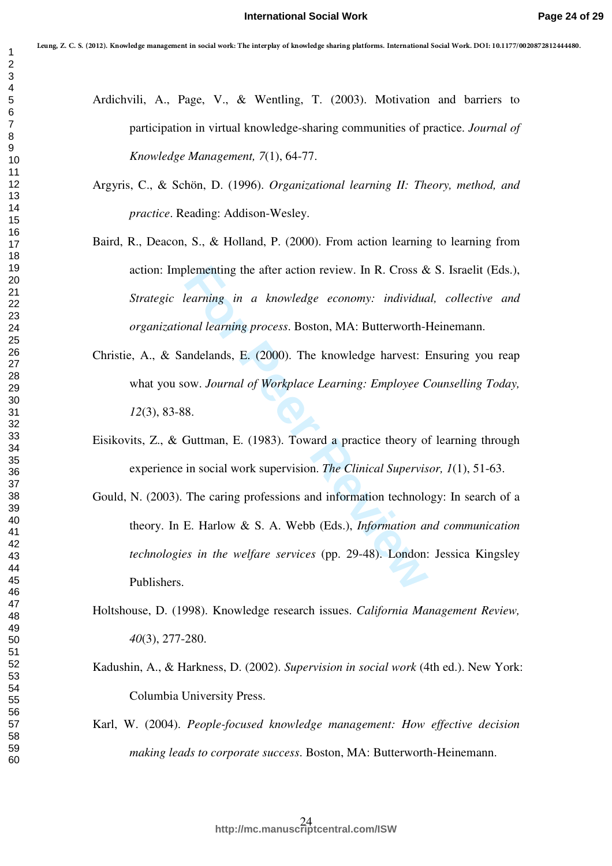- Ardichvili, A., Page, V., & Wentling, T. (2003). Motivation and barriers to participation in virtual knowledge-sharing communities of practice. *Journal of Knowledge Management, 7*(1), 64-77.
- Argyris, C., & Schön, D. (1996). *Organizational learning II: Theory, method, and practice*. Reading: Addison-Wesley.
- Baird, R., Deacon, S., & Holland, P. (2000). From action learning to learning from action: Implementing the after action review. In R. Cross & S. Israelit (Eds.), *Strategic learning in a knowledge economy: individual, collective and organizational learning process*. Boston, MA: Butterworth-Heinemann. 1  $m_{\pi}y$ 7 (1 (must kunsha mengum i markani Unimagny Pamery Amiry Amiry in terminates and in the intermediate state<br>
2<br>
Analytic A., Page, V., & Wouling, T. (2003). Motivation and Tarriers to<br>
2<br>
2<br>
2<br>
2<br>
2<br>
2<br>
2<br>
2<br>
2<br>
	- Christie, A., & Sandelands, E. (2000). The knowledge harvest: Ensuring you reap what you sow. *Journal of Workplace Learning: Employee Counselling Today,*  (3), 83-88.
	- Eisikovits, Z., & Guttman, E. (1983). Toward a practice theory of learning through experience in social work supervision. *The Clinical Supervisor, 1*(1), 51-63.
	- Follomenting the after action review. In R. Cross &<br>Fearning in a knowledge economy: individual<br>nal learning process. Boston, MA: Butterworth-<br>andelands, E. (2000). The knowledge harvest: F<br>ow. Journal of Workplace Learnin Gould, N. (2003). The caring professions and information technology: In search of a theory. In E. Harlow & S. A. Webb (Eds.), *Information and communication technologies in the welfare services* (pp. 29-48). London: Jessica Kingsley Publishers.
	- Holtshouse, D. (1998). Knowledge research issues. *California Management Review,*  (3), 277-280.
	- Kadushin, A., & Harkness, D. (2002). *Supervision in social work* (4th ed.). New York: Columbia University Press.
	- Karl, W. (2004). *People-focused knowledge management: How effective decision making leads to corporate success*. Boston, MA: Butterworth-Heinemann.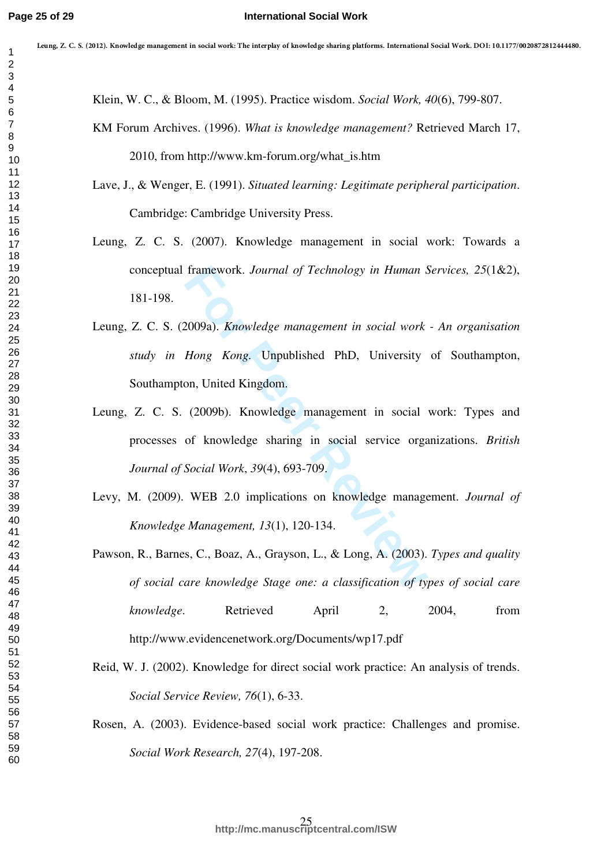Klein, W. C., & Bloom, M. (1995). Practice wisdom. *Social Work, 40*(6), 799-807.

- KM Forum Archives. (1996). *What is knowledge management?* Retrieved March 17, 2010, from http://www.km-forum.org/what\_is.htm
- Lave, J., & Wenger, E. (1991). *Situated learning: Legitimate peripheral participation*. Cambridge: Cambridge University Press.
- Leung, Z. C. S. (2007). Knowledge management in social work: Towards a conceptual framework. *Journal of Technology in Human Services, 25*(1&2), 181-198.
- framework. Journal of Technology in Human S<br>
2009a). Knowledge management in social work<br>
Hong Kong. Unpublished PhD, University<br>
on, United Kingdom.<br>
(2009b). Knowledge management in social<br>
of knowledge sharing in social Leung, Z. C. S. (2009a). *Knowledge management in social work - An organisation study in Hong Kong.* Unpublished PhD, University of Southampton, Southampton, United Kingdom.
- Leung, Z. C. S. (2009b). Knowledge management in social work: Types and processes of knowledge sharing in social service organizations. *British Journal of Social Work*, *39*(4), 693-709.
- Levy, M. (2009). WEB 2.0 implications on knowledge management. *Journal of Knowledge Management, 13*(1), 120-134.
- Pawson, R., Barnes, C., Boaz, A., Grayson, L., & Long, A. (2003). *Types and quality of social care knowledge Stage one: a classification of types of social care knowledge*. Retrieved April 2, 2004, from http://www.evidencenetwork.org/Documents/wp17.pdf 1  $m_{\pi}y$ 7 (1 επατετικαν) παρασκευτικαν πλευθεντικά γενικά μέσα το παρασκευτικά του που παρασκευτικά του παρασκευτικό του προσκευτικό του προσκευτικό του προσκευτικό του προσκευτικό του προσκευτικό του προσκευτικό του π
	- Reid, W. J. (2002). Knowledge for direct social work practice: An analysis of trends. *Social Service Review, 76*(1), 6-33.
	- Rosen, A. (2003). Evidence-based social work practice: Challenges and promise. *Social Work Research, 27*(4), 197-208.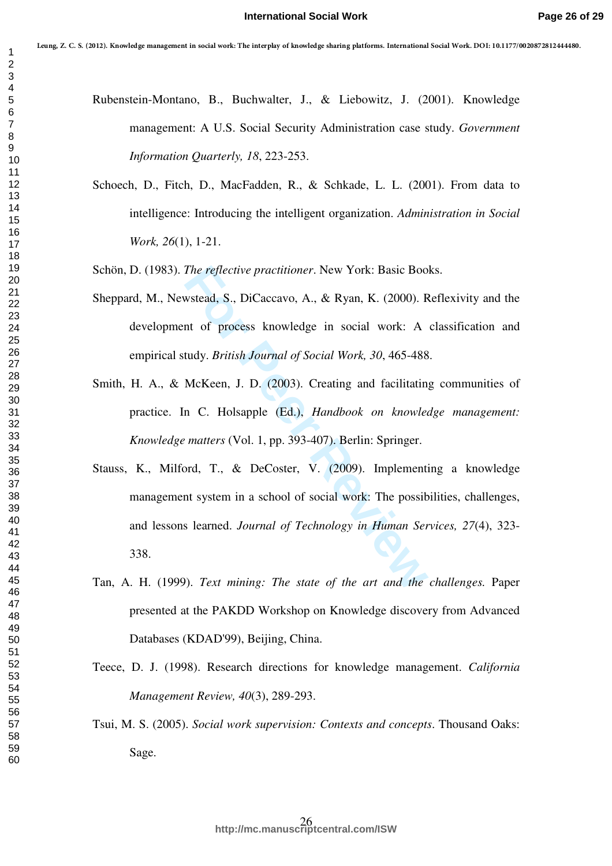- Rubenstein-Montano, B., Buchwalter, J., & Liebowitz, J. (2001). Knowledge management: A U.S. Social Security Administration case study. *Government Information Quarterly, 18*, 223-253.
- Schoech, D., Fitch, D., MacFadden, R., & Schkade, L. L. (2001). From data to intelligence: Introducing the intelligent organization. *Administration in Social Work, 26*(1), 1-21.
- Schön, D. (1983). *The reflective practitioner*. New York: Basic Books.
- Sheppard, M., Newstead, S., DiCaccavo, A., & Ryan, K. (2000). Reflexivity and the development of process knowledge in social work: A classification and empirical study. *British Journal of Social Work, 30*, 465-488.
- Smith, H. A., & McKeen, J. D. (2003). Creating and facilitating communities of practice. In C. Holsapple (Ed.), *Handbook on knowledge management: Knowledge matters* (Vol. 1, pp. 393-407). Berlin: Springer.
- The reflective practitioner. New York: Basic Boot<br>wstead, S., DiCaccavo, A., & Ryan, K. (2000). Function of process knowledge in social work: A<br>tudy. *British Journal of Social Work, 30, 465-488*<br>McKeen, J. D. (2003). Crea Stauss, K., Milford, T., & DeCoster, V. (2009). Implementing a knowledge management system in a school of social work: The possibilities, challenges, and lessons learned. *Journal of Technology in Human Services, 27*(4), 323- 338. 1  $m_{\pi}y$ 7 (1 (must emadop magnetic included the interpretation for the formulation of the formulation of the formulation of the formulation of the formulation of the formulation of the formulation of the formulation of
	- Tan, A. H. (1999). *Text mining: The state of the art and the challenges.* Paper presented at the PAKDD Workshop on Knowledge discovery from Advanced Databases (KDAD'99), Beijing, China.
	- Teece, D. J. (1998). Research directions for knowledge management. *California Management Review, 40*(3), 289-293.
	- Tsui, M. S. (2005). *Social work supervision: Contexts and concepts*. Thousand Oaks: Sage.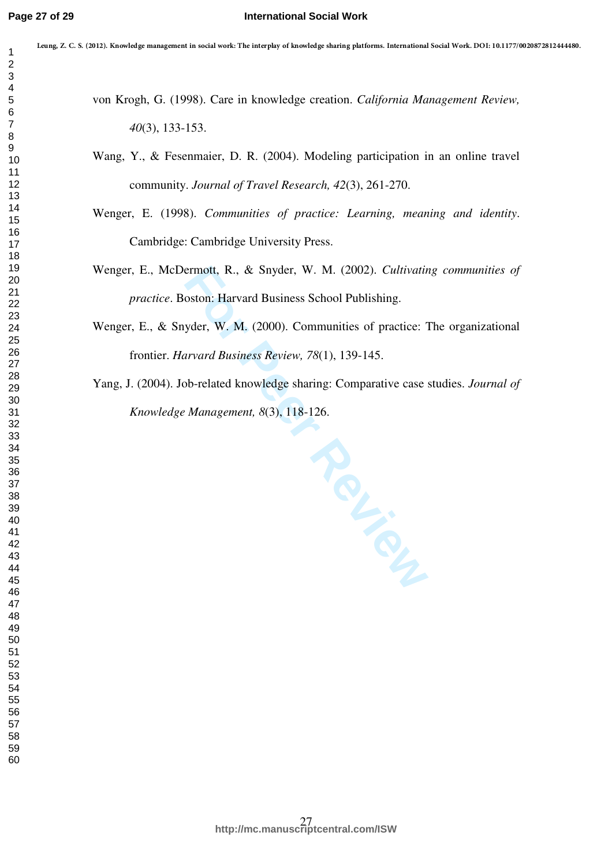| 1                             |
|-------------------------------|
| $\overline{ }$                |
|                               |
|                               |
|                               |
|                               |
|                               |
|                               |
|                               |
|                               |
|                               |
|                               |
|                               |
|                               |
|                               |
|                               |
|                               |
|                               |
|                               |
|                               |
|                               |
|                               |
|                               |
|                               |
|                               |
|                               |
|                               |
|                               |
|                               |
|                               |
|                               |
|                               |
|                               |
|                               |
|                               |
|                               |
|                               |
|                               |
|                               |
|                               |
|                               |
|                               |
|                               |
| 40                            |
| 4<br>1                        |
| 4                             |
| 43                            |
| 44                            |
| 45                            |
|                               |
| 46                            |
| 47                            |
| 48<br>$\overline{\mathbf{3}}$ |
| 49                            |
| 50                            |
| 1<br>5                        |
| 5,<br>$\overline{ }$          |
| 53<br>ś                       |
| 54                            |
|                               |
| 55                            |
| 56                            |
| 57<br>58                      |
|                               |
| 59                            |
|                               |

von Krogh, G. (1998). Care in knowledge creation. *California Management Review,*  (3), 133-153.

Wang, Y., & Fesenmaier, D. R. (2004). Modeling participation in an online travel community. *Journal of Travel Research, 42*(3), 261-270.

Wenger, E. (1998). *Communities of practice: Learning, meaning and identity*. Cambridge: Cambridge University Press.

Wenger, E., McDermott, R., & Snyder, W. M. (2002). *Cultivating communities of practice*. Boston: Harvard Business School Publishing.

Wenger, E., & Snyder, W. M. (2000). Communities of practice: The organizational frontier. *Harvard Business Review, 78*(1), 139-145.

Yang, J. (2004). Job-related knowledge sharing: Comparative case studies. *Journal of Knowledge Management, 8*(3), 118-126.

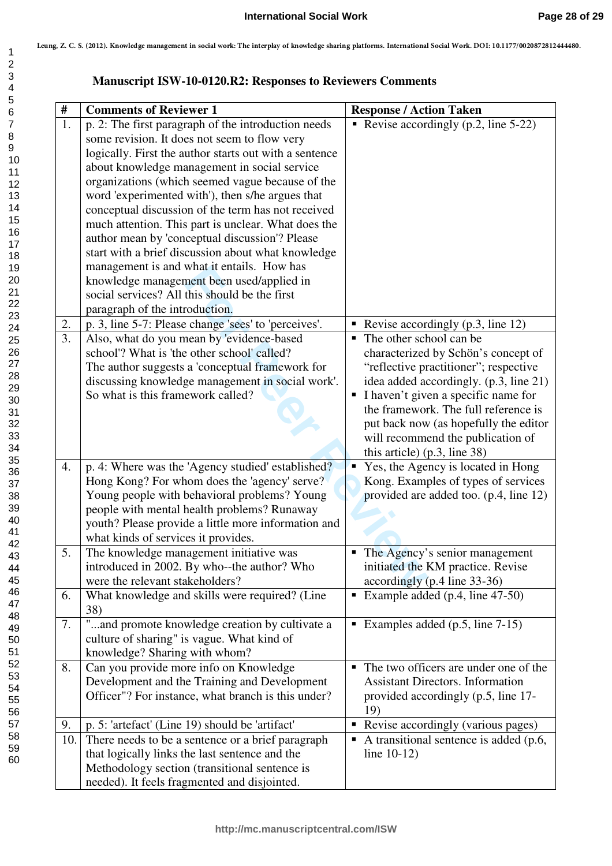# **Manuscript ISW-10-0120.R2: Responses to Reviewers Comments**

|     |                                                                                                                                                                                                                                                                                                                                                                                                                                                                                                                                                                                                                                                                                                                          | <b>Manuscript ISW-10-0120.R2: Responses to Reviewers Comments</b>                                                                                                                                                                                                                                                                                  |  |  |
|-----|--------------------------------------------------------------------------------------------------------------------------------------------------------------------------------------------------------------------------------------------------------------------------------------------------------------------------------------------------------------------------------------------------------------------------------------------------------------------------------------------------------------------------------------------------------------------------------------------------------------------------------------------------------------------------------------------------------------------------|----------------------------------------------------------------------------------------------------------------------------------------------------------------------------------------------------------------------------------------------------------------------------------------------------------------------------------------------------|--|--|
| #   | <b>Comments of Reviewer 1</b>                                                                                                                                                                                                                                                                                                                                                                                                                                                                                                                                                                                                                                                                                            | <b>Response / Action Taken</b>                                                                                                                                                                                                                                                                                                                     |  |  |
| 1.  | p. 2: The first paragraph of the introduction needs<br>some revision. It does not seem to flow very<br>logically. First the author starts out with a sentence<br>about knowledge management in social service<br>organizations (which seemed vague because of the<br>word 'experimented with'), then s/he argues that<br>conceptual discussion of the term has not received<br>much attention. This part is unclear. What does the<br>author mean by 'conceptual discussion'? Please<br>start with a brief discussion about what knowledge<br>management is and what it entails. How has<br>knowledge management been used/applied in<br>social services? All this should be the first<br>paragraph of the introduction. | Revise accordingly $(p.2, line 5-22)$                                                                                                                                                                                                                                                                                                              |  |  |
| 2.  | p. 3, line 5-7: Please change 'sees' to 'perceives'.                                                                                                                                                                                                                                                                                                                                                                                                                                                                                                                                                                                                                                                                     | Revise accordingly $(p.3, line 12)$                                                                                                                                                                                                                                                                                                                |  |  |
| 3.  | Also, what do you mean by 'evidence-based<br>school'? What is 'the other school' called?<br>The author suggests a 'conceptual framework for<br>discussing knowledge management in social work'.<br>So what is this framework called?                                                                                                                                                                                                                                                                                                                                                                                                                                                                                     | • The other school can be<br>characterized by Schön's concept of<br>"reflective practitioner"; respective<br>idea added accordingly. (p.3, line 21)<br>I haven't given a specific name for<br>the framework. The full reference is<br>put back now (as hopefully the editor<br>will recommend the publication of<br>this article) $(p.3, line 38)$ |  |  |
| 4.  | p. 4: Where was the 'Agency studied' established?<br>Hong Kong? For whom does the 'agency' serve?<br>Young people with behavioral problems? Young<br>people with mental health problems? Runaway<br>youth? Please provide a little more information and<br>what kinds of services it provides.                                                                                                                                                                                                                                                                                                                                                                                                                           | • Yes, the Agency is located in Hong<br>Kong. Examples of types of services<br>provided are added too. (p.4, line 12)                                                                                                                                                                                                                              |  |  |
| 5.  | The knowledge management initiative was<br>introduced in 2002. By who--the author? Who<br>were the relevant stakeholders?                                                                                                                                                                                                                                                                                                                                                                                                                                                                                                                                                                                                | • The Agency's senior management<br>initiated the KM practice. Revise<br>accordingly (p.4 line 33-36)                                                                                                                                                                                                                                              |  |  |
| 6.  | What knowledge and skills were required? (Line<br>38)                                                                                                                                                                                                                                                                                                                                                                                                                                                                                                                                                                                                                                                                    | Example added $(p.4, line 47-50)$                                                                                                                                                                                                                                                                                                                  |  |  |
| 7.  | "and promote knowledge creation by cultivate a<br>culture of sharing" is vague. What kind of<br>knowledge? Sharing with whom?                                                                                                                                                                                                                                                                                                                                                                                                                                                                                                                                                                                            | Examples added $(p.5, line 7-15)$                                                                                                                                                                                                                                                                                                                  |  |  |
| 8.  | Can you provide more info on Knowledge<br>Development and the Training and Development<br>Officer"? For instance, what branch is this under?                                                                                                                                                                                                                                                                                                                                                                                                                                                                                                                                                                             | • The two officers are under one of the<br><b>Assistant Directors. Information</b><br>provided accordingly (p.5, line 17-<br>19)                                                                                                                                                                                                                   |  |  |
| 9.  | p. 5: 'artefact' (Line 19) should be 'artifact'                                                                                                                                                                                                                                                                                                                                                                                                                                                                                                                                                                                                                                                                          | • Revise accordingly (various pages)                                                                                                                                                                                                                                                                                                               |  |  |
| 10. | There needs to be a sentence or a brief paragraph<br>that logically links the last sentence and the<br>Methodology section (transitional sentence is<br>needed). It feels fragmented and disjointed.                                                                                                                                                                                                                                                                                                                                                                                                                                                                                                                     | A transitional sentence is added (p.6,<br>line $10-12$ )                                                                                                                                                                                                                                                                                           |  |  |